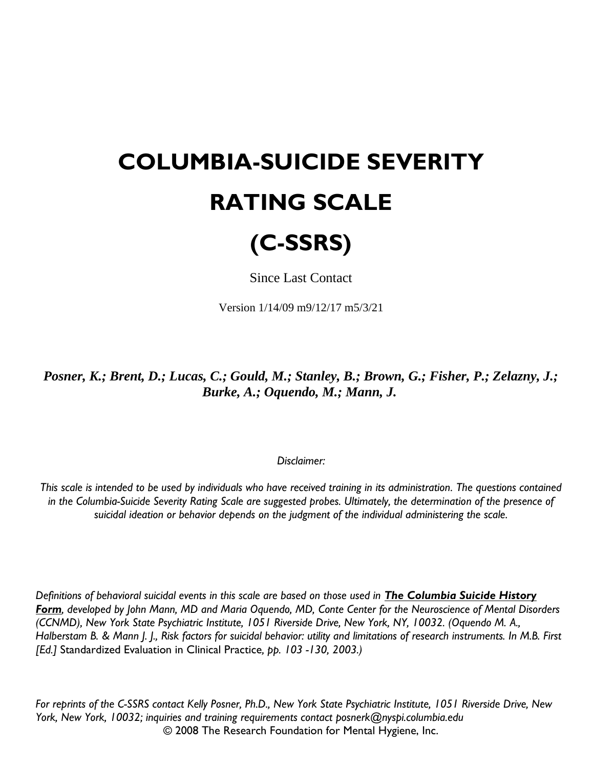## **COLUMBIA-SUICIDE SEVERITY RATING SCALE**

## **(C-SSRS)**

Since Last Contact

Version 1/14/09 m9/12/17 m5/3/21

*Posner, K.; Brent, D.; Lucas, C.; Gould, M.; Stanley, B.; Brown, G.; Fisher, P.; Zelazny, J.; Burke, A.; Oquendo, M.; Mann, J.*

## *Disclaimer:*

*This scale is intended to be used by individuals who have received training in its administration. The questions contained in the Columbia-Suicide Severity Rating Scale are suggested probes. Ultimately, the determination of the presence of suicidal ideation or behavior depends on the judgment of the individual administering the scale.*

*Definitions of behavioral suicidal events in this scale are based on those used in The Columbia Suicide History Form, developed by John Mann, MD and Maria Oquendo, MD, Conte Center for the Neuroscience of Mental Disorders (CCNMD), New York State Psychiatric Institute, 1051 Riverside Drive, New York, NY, 10032. (Oquendo M. A., Halberstam B. & Mann J. J., Risk factors for suicidal behavior: utility and limitations of research instruments. In M.B. First [Ed.]* Standardized Evaluation in Clinical Practice*, pp. 103 -130, 2003.)*

*For reprints of the C-SSRS contact Kelly Posner, Ph.D., New York State Psychiatric Institute, 1051 Riverside Drive, New York, New York, 10032; inquiries and training requirements contact posnerk@nyspi.columbia.edu* © 2008 The Research Foundation for Mental Hygiene, Inc.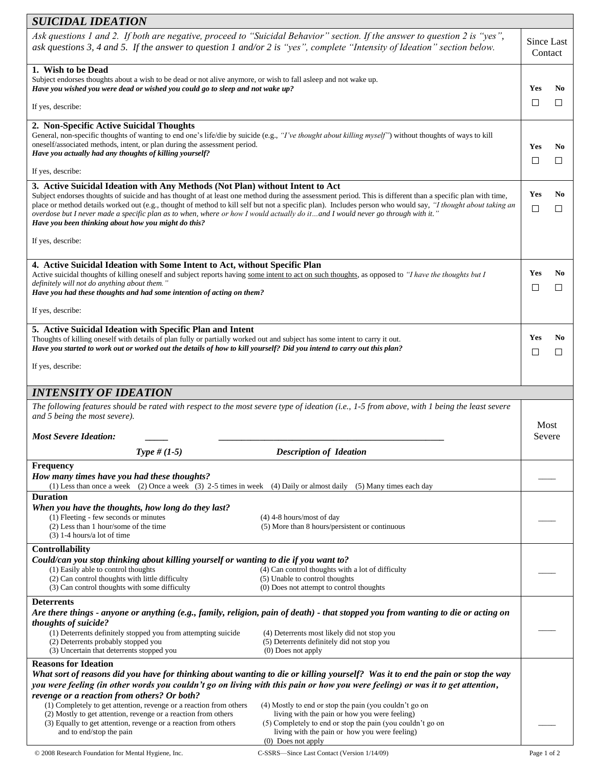| <b>SUICIDAL IDEATION</b>                                                                                                                                                                                                                                                                                                                                                                                                                                                                                                                                                                                |                                                                                                                                                                                    |                       |                       |  |
|---------------------------------------------------------------------------------------------------------------------------------------------------------------------------------------------------------------------------------------------------------------------------------------------------------------------------------------------------------------------------------------------------------------------------------------------------------------------------------------------------------------------------------------------------------------------------------------------------------|------------------------------------------------------------------------------------------------------------------------------------------------------------------------------------|-----------------------|-----------------------|--|
| Ask questions 1 and 2. If both are negative, proceed to "Suicidal Behavior" section. If the answer to question 2 is "yes",<br>ask questions 3, 4 and 5. If the answer to question 1 and/or 2 is "yes", complete "Intensity of Ideation" section below.                                                                                                                                                                                                                                                                                                                                                  |                                                                                                                                                                                    |                       | Since Last<br>Contact |  |
| 1. Wish to be Dead                                                                                                                                                                                                                                                                                                                                                                                                                                                                                                                                                                                      |                                                                                                                                                                                    |                       |                       |  |
| Subject endorses thoughts about a wish to be dead or not alive anymore, or wish to fall asleep and not wake up.<br>Have you wished you were dead or wished you could go to sleep and not wake up?                                                                                                                                                                                                                                                                                                                                                                                                       |                                                                                                                                                                                    |                       | N <sub>0</sub>        |  |
|                                                                                                                                                                                                                                                                                                                                                                                                                                                                                                                                                                                                         |                                                                                                                                                                                    |                       | $\mathsf{L}$          |  |
| If yes, describe:                                                                                                                                                                                                                                                                                                                                                                                                                                                                                                                                                                                       |                                                                                                                                                                                    |                       |                       |  |
| 2. Non-Specific Active Suicidal Thoughts                                                                                                                                                                                                                                                                                                                                                                                                                                                                                                                                                                |                                                                                                                                                                                    |                       |                       |  |
| General, non-specific thoughts of wanting to end one's life/die by suicide (e.g., "I've thought about killing myself") without thoughts of ways to kill                                                                                                                                                                                                                                                                                                                                                                                                                                                 |                                                                                                                                                                                    |                       |                       |  |
| oneself/associated methods, intent, or plan during the assessment period.<br>Have you actually had any thoughts of killing yourself?                                                                                                                                                                                                                                                                                                                                                                                                                                                                    |                                                                                                                                                                                    |                       | No                    |  |
|                                                                                                                                                                                                                                                                                                                                                                                                                                                                                                                                                                                                         |                                                                                                                                                                                    |                       | $\Box$                |  |
| If yes, describe:                                                                                                                                                                                                                                                                                                                                                                                                                                                                                                                                                                                       |                                                                                                                                                                                    |                       |                       |  |
| 3. Active Suicidal Ideation with Any Methods (Not Plan) without Intent to Act<br>Subject endorses thoughts of suicide and has thought of at least one method during the assessment period. This is different than a specific plan with time,<br>place or method details worked out (e.g., thought of method to kill self but not a specific plan). Includes person who would say, "I thought about taking an<br>overdose but I never made a specific plan as to when, where or how I would actually do it and I would never go through with it."<br>Have you been thinking about how you might do this? |                                                                                                                                                                                    |                       | No<br>□               |  |
| If yes, describe:                                                                                                                                                                                                                                                                                                                                                                                                                                                                                                                                                                                       |                                                                                                                                                                                    |                       |                       |  |
| 4. Active Suicidal Ideation with Some Intent to Act, without Specific Plan                                                                                                                                                                                                                                                                                                                                                                                                                                                                                                                              |                                                                                                                                                                                    |                       |                       |  |
| Active suicidal thoughts of killing oneself and subject reports having some intent to act on such thoughts, as opposed to "I have the thoughts but I<br>definitely will not do anything about them."<br>Have you had these thoughts and had some intention of acting on them?                                                                                                                                                                                                                                                                                                                           |                                                                                                                                                                                    |                       | No<br>П               |  |
| If yes, describe:                                                                                                                                                                                                                                                                                                                                                                                                                                                                                                                                                                                       |                                                                                                                                                                                    |                       |                       |  |
| 5. Active Suicidal Ideation with Specific Plan and Intent<br>Thoughts of killing oneself with details of plan fully or partially worked out and subject has some intent to carry it out.<br>Have you started to work out or worked out the details of how to kill yourself? Did you intend to carry out this plan?                                                                                                                                                                                                                                                                                      |                                                                                                                                                                                    | Yes<br>$\mathbb{Z}^2$ | No<br>$\Box$          |  |
| If yes, describe:                                                                                                                                                                                                                                                                                                                                                                                                                                                                                                                                                                                       |                                                                                                                                                                                    |                       |                       |  |
| <b>INTENSITY OF IDEATION</b>                                                                                                                                                                                                                                                                                                                                                                                                                                                                                                                                                                            |                                                                                                                                                                                    |                       |                       |  |
|                                                                                                                                                                                                                                                                                                                                                                                                                                                                                                                                                                                                         |                                                                                                                                                                                    |                       |                       |  |
| The following features should be rated with respect to the most severe type of ideation (i.e., 1-5 from above, with 1 being the least severe<br>and 5 being the most severe).                                                                                                                                                                                                                                                                                                                                                                                                                           |                                                                                                                                                                                    |                       | Most                  |  |
| <b>Most Severe Ideation:</b>                                                                                                                                                                                                                                                                                                                                                                                                                                                                                                                                                                            |                                                                                                                                                                                    | Severe                |                       |  |
| Type # $(1-5)$                                                                                                                                                                                                                                                                                                                                                                                                                                                                                                                                                                                          | <b>Description of Ideation</b>                                                                                                                                                     |                       |                       |  |
| <b>Frequency</b><br>How many times have you had these thoughts?<br>(1) Less than once a week (2) Once a week (3) 2-5 times in week (4) Daily or almost daily (5) Many times each day                                                                                                                                                                                                                                                                                                                                                                                                                    |                                                                                                                                                                                    |                       |                       |  |
| <b>Duration</b>                                                                                                                                                                                                                                                                                                                                                                                                                                                                                                                                                                                         |                                                                                                                                                                                    |                       |                       |  |
| When you have the thoughts, how long do they last?<br>(1) Fleeting - few seconds or minutes                                                                                                                                                                                                                                                                                                                                                                                                                                                                                                             | $(4)$ 4-8 hours/most of day                                                                                                                                                        |                       |                       |  |
| (2) Less than 1 hour/some of the time                                                                                                                                                                                                                                                                                                                                                                                                                                                                                                                                                                   | (5) More than 8 hours/persistent or continuous                                                                                                                                     |                       |                       |  |
| $(3)$ 1-4 hours/a lot of time                                                                                                                                                                                                                                                                                                                                                                                                                                                                                                                                                                           |                                                                                                                                                                                    |                       |                       |  |
| Controllability                                                                                                                                                                                                                                                                                                                                                                                                                                                                                                                                                                                         |                                                                                                                                                                                    |                       |                       |  |
| Could/can you stop thinking about killing yourself or wanting to die if you want to?<br>(1) Easily able to control thoughts                                                                                                                                                                                                                                                                                                                                                                                                                                                                             | (4) Can control thoughts with a lot of difficulty                                                                                                                                  |                       |                       |  |
| (2) Can control thoughts with little difficulty                                                                                                                                                                                                                                                                                                                                                                                                                                                                                                                                                         | (5) Unable to control thoughts                                                                                                                                                     |                       |                       |  |
| (3) Can control thoughts with some difficulty                                                                                                                                                                                                                                                                                                                                                                                                                                                                                                                                                           | (0) Does not attempt to control thoughts                                                                                                                                           |                       |                       |  |
| <b>Deterrents</b>                                                                                                                                                                                                                                                                                                                                                                                                                                                                                                                                                                                       |                                                                                                                                                                                    |                       |                       |  |
|                                                                                                                                                                                                                                                                                                                                                                                                                                                                                                                                                                                                         | Are there things - anyone or anything (e.g., family, religion, pain of death) - that stopped you from wanting to die or acting on                                                  |                       |                       |  |
| thoughts of suicide?<br>(1) Deterrents definitely stopped you from attempting suicide                                                                                                                                                                                                                                                                                                                                                                                                                                                                                                                   | (4) Deterrents most likely did not stop you                                                                                                                                        |                       |                       |  |
| (2) Deterrents probably stopped you                                                                                                                                                                                                                                                                                                                                                                                                                                                                                                                                                                     | (5) Deterrents definitely did not stop you                                                                                                                                         |                       |                       |  |
| (3) Uncertain that deterrents stopped you                                                                                                                                                                                                                                                                                                                                                                                                                                                                                                                                                               | $(0)$ Does not apply                                                                                                                                                               |                       |                       |  |
| <b>Reasons for Ideation</b><br>What sort of reasons did you have for thinking about wanting to die or killing yourself? Was it to end the pain or stop the way<br>you were feeling (in other words you couldn't go on living with this pain or how you were feeling) or was it to get attention,<br>revenge or a reaction from others? Or both?                                                                                                                                                                                                                                                         |                                                                                                                                                                                    |                       |                       |  |
| (1) Completely to get attention, revenge or a reaction from others                                                                                                                                                                                                                                                                                                                                                                                                                                                                                                                                      | (4) Mostly to end or stop the pain (you couldn't go on                                                                                                                             |                       |                       |  |
| (2) Mostly to get attention, revenge or a reaction from others<br>(3) Equally to get attention, revenge or a reaction from others<br>and to end/stop the pain                                                                                                                                                                                                                                                                                                                                                                                                                                           | living with the pain or how you were feeling)<br>(5) Completely to end or stop the pain (you couldn't go on<br>living with the pain or how you were feeling)<br>(0) Does not apply |                       |                       |  |